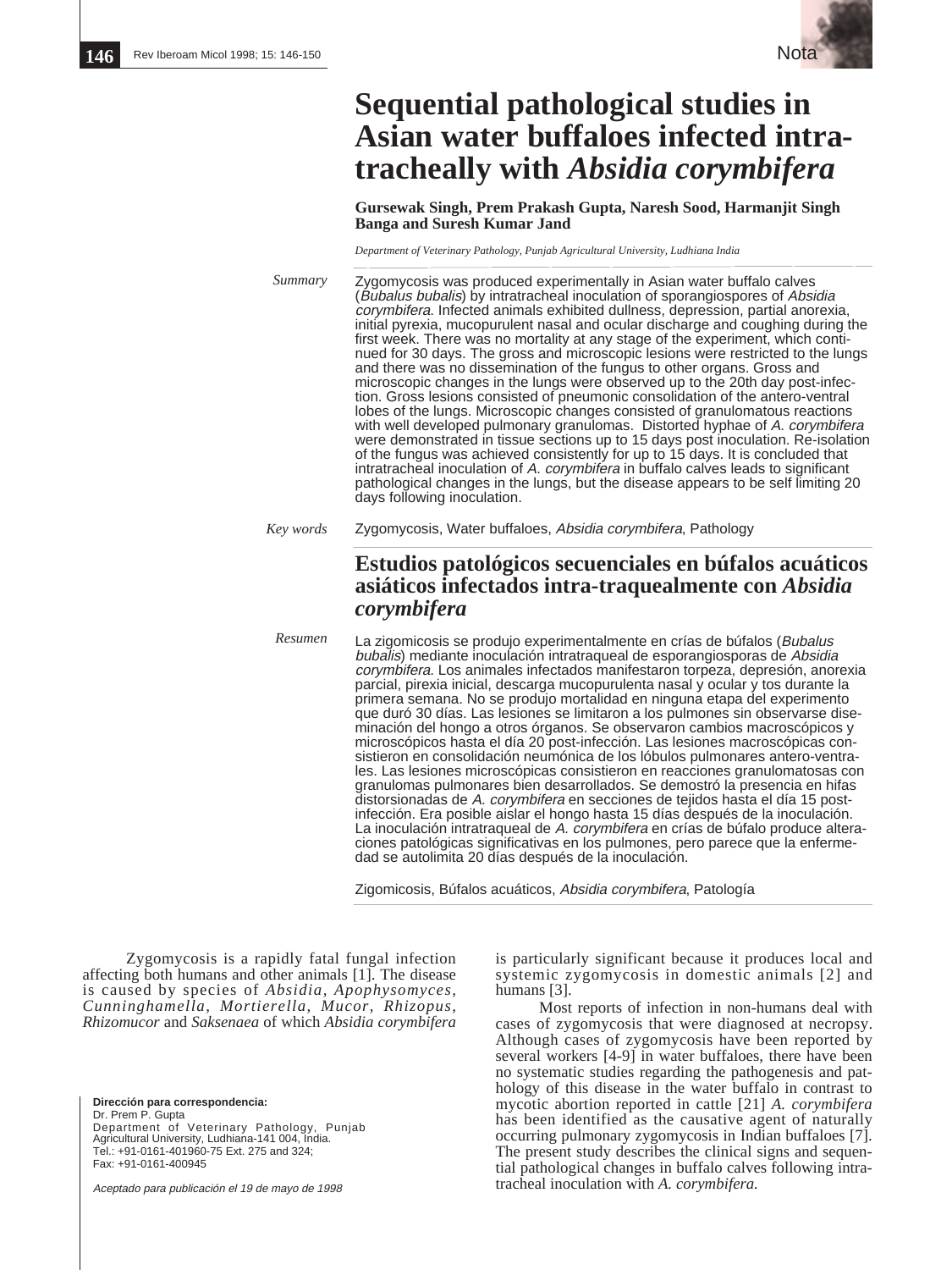

# **Sequential pathological studies in Asian water buffaloes infected intratracheally with** *Absidia corymbifera*

**Gursewak Singh, Prem Prakash Gupta, Naresh Sood, Harmanjit Singh Banga and Suresh Kumar Jand**

*Department of Veterinary Pathology, Punjab Agricultural University, Ludhiana India*

Zygomycosis was produced experimentally in Asian water buffalo calves (Bubalus bubalis) by intratracheal inoculation of sporangiospores of Absidia corymbifera. Infected animals exhibited dullness, depression, partial anorexia, initial pyrexia, mucopurulent nasal and ocular discharge and coughing during the first week. There was no mortality at any stage of the experiment, which continued for 30 days. The gross and microscopic lesions were restricted to the lungs and there was no dissemination of the fungus to other organs. Gross and microscopic changes in the lungs were observed up to the 20th day post-infection. Gross lesions consisted of pneumonic consolidation of the antero-ventral lobes of the lungs. Microscopic changes consisted of granulomatous reactions with well developed pulmonary granulomas. Distorted hyphae of A. corymbifera were demonstrated in tissue sections up to 15 days post inoculation. Re-isolation of the fungus was achieved consistently for up to 15 days. It is concluded that intratracheal inoculation of A. corymbifera in buffalo calves leads to significant pathological changes in the lungs, but the disease appears to be self limiting 20 days following inoculation. Zygomycosis, Water buffaloes, Absidia corymbifera, Pathology **Estudios patológicos secuenciales en búfalos acuáticos asiáticos infectados intra-traquealmente con** *Absidia corymbifera* La zigomicosis se produjo experimentalmente en crías de búfalos (Bubalus bubalis) mediante inoculación intratraqueal de esporangiosporas de Absidia corymbifera. Los animales infectados manifestaron torpeza, depresión, anorexia parcial, pirexia inicial, descarga mucopurulenta nasal y ocular y tos durante la primera semana. No se produjo mortalidad en ninguna etapa del experimento que duró 30 días. Las lesiones se limitaron a los pulmones sin observarse diseminación del hongo a otros órganos. Se observaron cambios macroscópicos y microscópicos hasta el día 20 post-infección. Las lesiones macroscópicas con-*Summary Key words Resumen*

sistieron en consolidación neumónica de los lóbulos pulmonares antero-ventrales. Las lesiones microscópicas consistieron en reacciones granulomatosas con granulomas pulmonares bien desarrollados. Se demostró la presencia en hifas distorsionadas de A. *corymbifera* en secciones de tejidos hasta el día 15 postinfección. Era posible aislar el hongo hasta 15 días después de la inoculación. La inoculación intratraqueal de A. corymbifera en crías de búfalo produce alteraciones patológicas significativas en los pulmones, pero parece que la enfermedad se autolimita 20 días después de la inoculación.

Zigomicosis, Búfalos acuáticos, Absidia corymbifera, Patología

Zygomycosis is a rapidly fatal fungal infection affecting both humans and other animals [1]. The disease is caused by species of *Absidia, Apophysomyces, Cunninghamella, Mortierella, Mucor, Rhizopus, Rhizomucor* and *Saksenaea* of which *Absidia corymbifera*

**Dirección para correspondencia:** Dr. Prem P. Gupta Department of Veterinary Pathology, Punjab Agricultural University, Ludhiana-141 004, India. Tel.: +91-0161-401960-75 Ext. 275 and 324; Fax: +91-0161-400945

Aceptado para publicación el 19 de mayo de 1998

is particularly significant because it produces local and systemic zygomycosis in domestic animals [2] and humans [3].

Most reports of infection in non-humans deal with cases of zygomycosis that were diagnosed at necropsy. Although cases of zygomycosis have been reported by several workers [4-9] in water buffaloes, there have been no systematic studies regarding the pathogenesis and pathology of this disease in the water buffalo in contrast to mycotic abortion reported in cattle [21] *A. corymbifera* has been identified as the causative agent of naturally occurring pulmonary zygomycosis in Indian buffaloes [7]. The present study describes the clinical signs and sequential pathological changes in buffalo calves following intratracheal inoculation with *A. corymbifera.*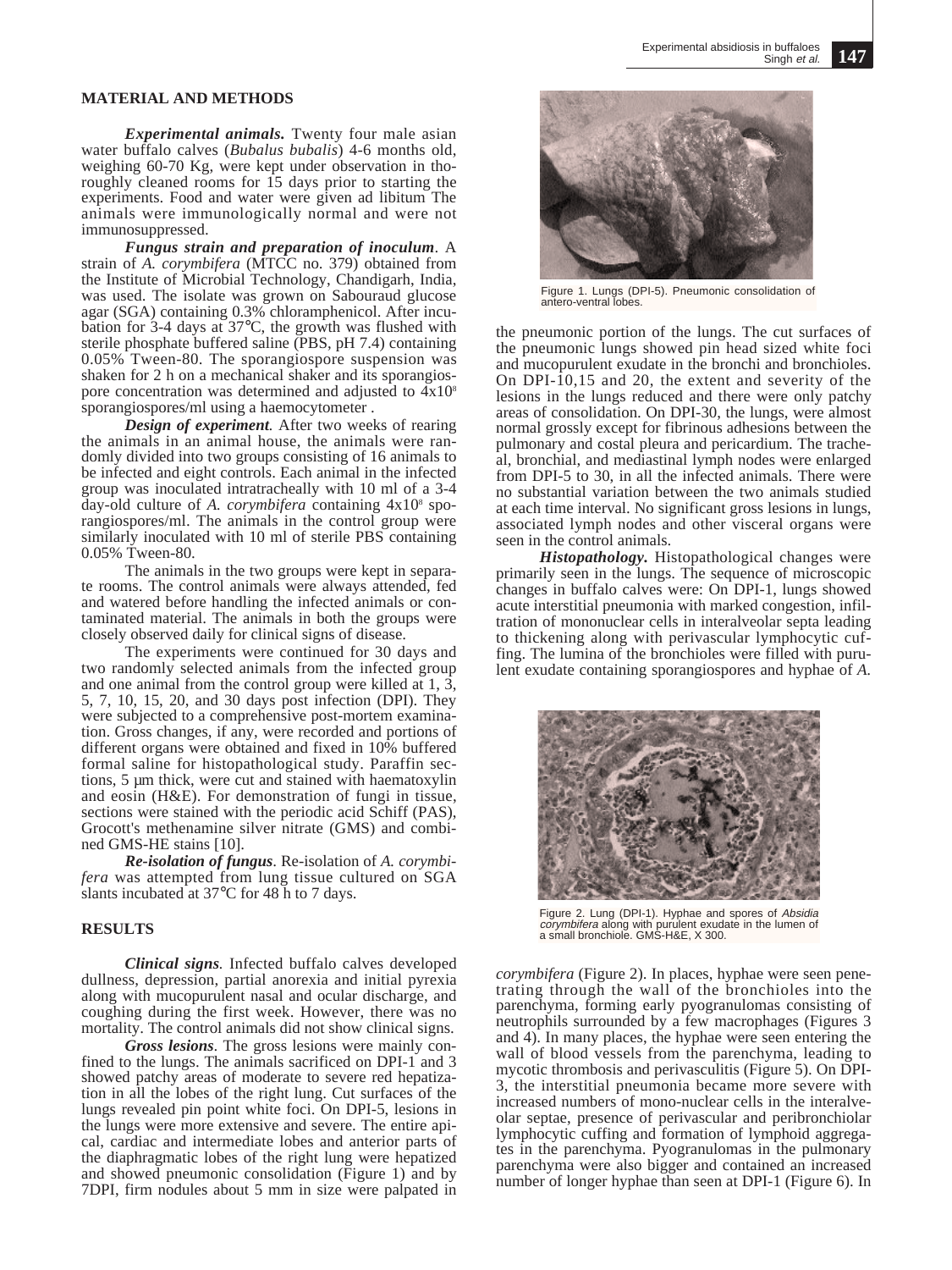### **MATERIAL AND METHODS**

*Experimental animals.* Twenty four male asian water buffalo calves (*Bubalus bubalis*) 4-6 months old, weighing 60-70 Kg, were kept under observation in thoroughly cleaned rooms for 15 days prior to starting the experiments. Food and water were given ad libitum The animals were immunologically normal and were not immunosuppressed.

*Fungus strain and preparation of inoculum*. A strain of *A. corymbifera* (MTCC no. 379) obtained from the Institute of Microbial Technology, Chandigarh, India, was used. The isolate was grown on Sabouraud glucose agar (SGA) containing 0.3% chloramphenicol. After incubation for 3-4 days at 37°C, the growth was flushed with sterile phosphate buffered saline (PBS, pH 7.4) containing 0.05% Tween-80. The sporangiospore suspension was shaken for 2 h on a mechanical shaker and its sporangiospore concentration was determined and adjusted to  $4x10<sup>s</sup>$ sporangiospores/ml using a haemocytometer .

*Design of experiment.* After two weeks of rearing the animals in an animal house, the animals were randomly divided into two groups consisting of 16 animals to be infected and eight controls. Each animal in the infected group was inoculated intratracheally with 10 ml of a 3-4 day-old culture of *A. corymbifera* containing  $4x10^8$  sporangiospores/ml. The animals in the control group were similarly inoculated with 10 ml of sterile PBS containing 0.05% Tween-80.

The animals in the two groups were kept in separate rooms. The control animals were always attended, fed and watered before handling the infected animals or contaminated material. The animals in both the groups were closely observed daily for clinical signs of disease.

The experiments were continued for 30 days and two randomly selected animals from the infected group and one animal from the control group were killed at 1, 3, 5, 7, 10, 15, 20, and 30 days post infection (DPI). They were subjected to a comprehensive post-mortem examination. Gross changes, if any, were recorded and portions of different organs were obtained and fixed in 10% buffered formal saline for histopathological study. Paraffin sections, 5 µm thick, were cut and stained with haematoxylin and eosin (H&E). For demonstration of fungi in tissue, sections were stained with the periodic acid Schiff (PAS), Grocott's methenamine silver nitrate (GMS) and combined GMS-HE stains [10].

*Re-isolation of fungus*. Re-isolation of *A. corymbifera* was attempted from lung tissue cultured on SGA slants incubated at 37°C for 48 h to 7 days.

## **RESULTS**

*Clinical signs.* Infected buffalo calves developed dullness, depression, partial anorexia and initial pyrexia along with mucopurulent nasal and ocular discharge, and coughing during the first week. However, there was no mortality. The control animals did not show clinical signs.

*Gross lesions*. The gross lesions were mainly confined to the lungs. The animals sacrificed on DPI-1 and 3 showed patchy areas of moderate to severe red hepatization in all the lobes of the right lung. Cut surfaces of the lungs revealed pin point white foci. On DPI-5, lesions in the lungs were more extensive and severe. The entire apical, cardiac and intermediate lobes and anterior parts of the diaphragmatic lobes of the right lung were hepatized and showed pneumonic consolidation (Figure 1) and by 7DPI, firm nodules about 5 mm in size were palpated in



Figure 1. Lungs (DPI-5). Pneumonic consolidation of antero-ventral lobes.

the pneumonic portion of the lungs. The cut surfaces of the pneumonic lungs showed pin head sized white foci and mucopurulent exudate in the bronchi and bronchioles. On DPI-10,15 and 20, the extent and severity of the lesions in the lungs reduced and there were only patchy areas of consolidation. On DPI-30, the lungs, were almost normal grossly except for fibrinous adhesions between the pulmonary and costal pleura and pericardium. The tracheal, bronchial, and mediastinal lymph nodes were enlarged from DPI-5 to 30, in all the infected animals. There were no substantial variation between the two animals studied at each time interval. No significant gross lesions in lungs, associated lymph nodes and other visceral organs were seen in the control animals.

*Histopathology.* Histopathological changes were primarily seen in the lungs. The sequence of microscopic changes in buffalo calves were: On DPI-1, lungs showed acute interstitial pneumonia with marked congestion, infiltration of mononuclear cells in interalveolar septa leading to thickening along with perivascular lymphocytic cuffing. The lumina of the bronchioles were filled with purulent exudate containing sporangiospores and hyphae of *A.*



Figure 2. Lung (DPI-1). Hyphae and spores of Absidia corymbifera along with purulent exudate in the lumen of a small bronchiole. GMS-H&E, X 300.

*corymbifera* (Figure 2). In places, hyphae were seen penetrating through the wall of the bronchioles into the parenchyma, forming early pyogranulomas consisting of neutrophils surrounded by a few macrophages (Figures 3 and 4). In many places, the hyphae were seen entering the wall of blood vessels from the parenchyma, leading to mycotic thrombosis and perivasculitis (Figure 5). On DPI-3, the interstitial pneumonia became more severe with increased numbers of mono-nuclear cells in the interalveolar septae, presence of perivascular and peribronchiolar lymphocytic cuffing and formation of lymphoid aggregates in the parenchyma. Pyogranulomas in the pulmonary parenchyma were also bigger and contained an increased number of longer hyphae than seen at DPI-1 (Figure 6). In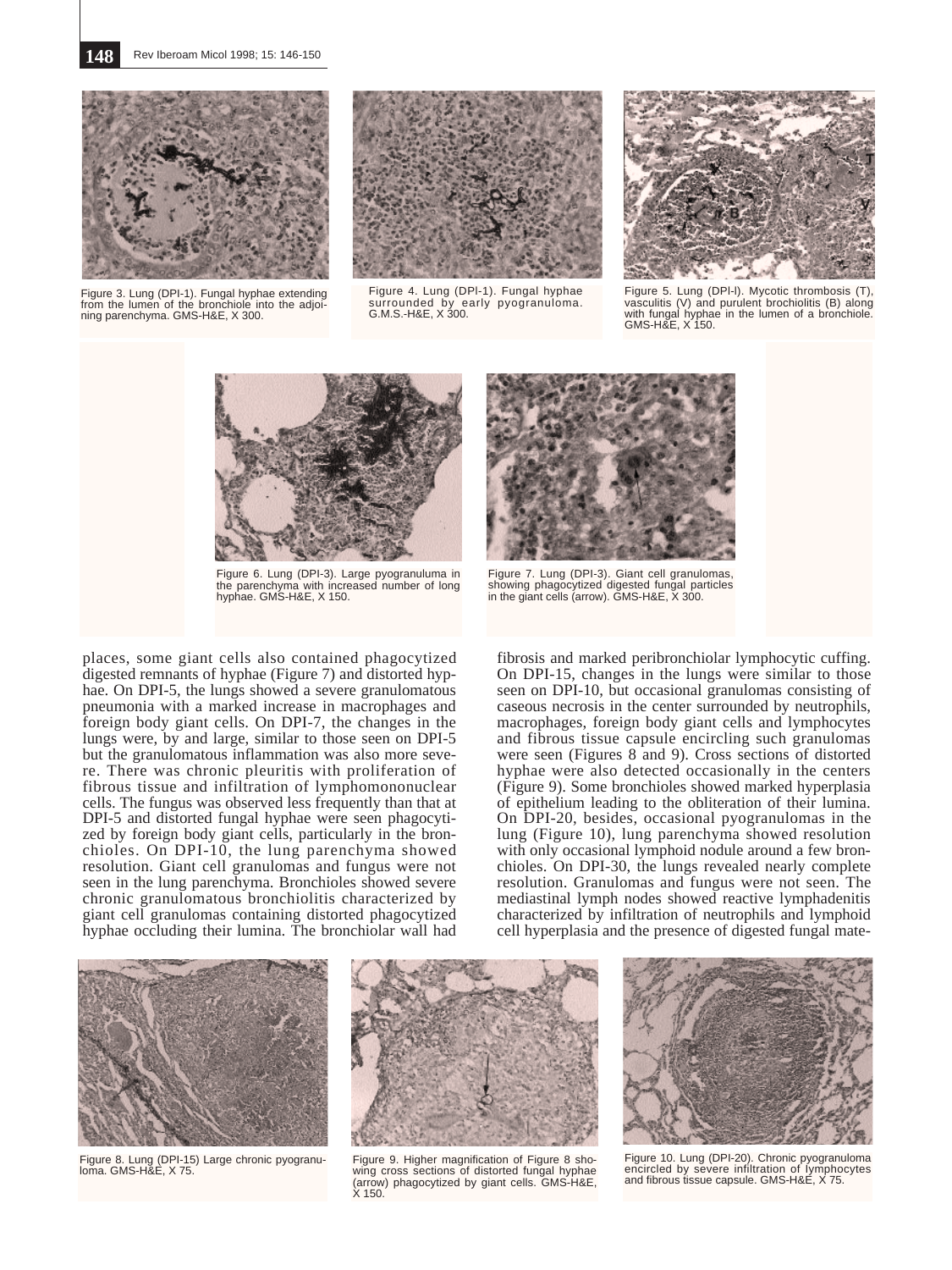**148** Rev Iberoam Micol 1998; 15: 146-150



Figure 3. Lung (DPI-1). Fungal hyphae extending from the lumen of the bronchiole into the adjoining parenchyma. GMS-H&E, X 300.



Figure 4. Lung (DPl-1). Fungal hyphae surrounded by early pyogranuloma. G.M.S.-H&E, X 300.



Figure 5. Lung (DPl-l). Mycotic thrombosis (T), vasculitis (V) and purulent brochiolitis (B) along with fungal hyphae in the lumen of a bronchiole. GMS-H&F, X 150.



Figure 6. Lung (DPI-3). Large pyogranuluma in the parenchyma with increased number of long hyphae. GMS-H&E, X 150.



Figure 7. Lung (DPI-3). Giant cell granulomas, showing phagocytized digested fungal particles in the giant cells (arrow). GMS-H&E, X 300.

places, some giant cells also contained phagocytized digested remnants of hyphae (Figure 7) and distorted hyphae. On DPI-5, the lungs showed a severe granulomatous pneumonia with a marked increase in macrophages and foreign body giant cells. On DPI-7, the changes in the lungs were, by and large, similar to those seen on DPI-5 but the granulomatous inflammation was also more severe. There was chronic pleuritis with proliferation of fibrous tissue and infiltration of lymphomononuclear cells. The fungus was observed less frequently than that at DPI-5 and distorted fungal hyphae were seen phagocytized by foreign body giant cells, particularly in the bronchioles. On DPI-10, the lung parenchyma showed resolution. Giant cell granulomas and fungus were not seen in the lung parenchyma. Bronchioles showed severe chronic granulomatous bronchiolitis characterized by giant cell granulomas containing distorted phagocytized hyphae occluding their lumina. The bronchiolar wall had

fibrosis and marked peribronchiolar lymphocytic cuffing. On DPI-15, changes in the lungs were similar to those seen on DPI-10, but occasional granulomas consisting of caseous necrosis in the center surrounded by neutrophils, macrophages, foreign body giant cells and lymphocytes and fibrous tissue capsule encircling such granulomas were seen (Figures 8 and 9). Cross sections of distorted hyphae were also detected occasionally in the centers (Figure 9). Some bronchioles showed marked hyperplasia of epithelium leading to the obliteration of their lumina. On DPI-20, besides, occasional pyogranulomas in the lung (Figure 10), lung parenchyma showed resolution with only occasional lymphoid nodule around a few bronchioles. On DPI-30, the lungs revealed nearly complete resolution. Granulomas and fungus were not seen. The mediastinal lymph nodes showed reactive lymphadenitis characterized by infiltration of neutrophils and lymphoid cell hyperplasia and the presence of digested fungal mate-



Figure 8. Lung (DPI-15) Large chronic pyogranuloma. GMS-H&E, X 75.



Figure 9. Higher magnification of Figure 8 showing cross sections of distorted fungal hyphae (arrow) phagocytized by giant cells. GMS-H&E, X 150.



Figure 10. Lung (DPI-20). Chronic pyogranuloma encircled by severe infiltration of Iymphocytes and fibrous tissue capsule. GMS-H&E, X 75.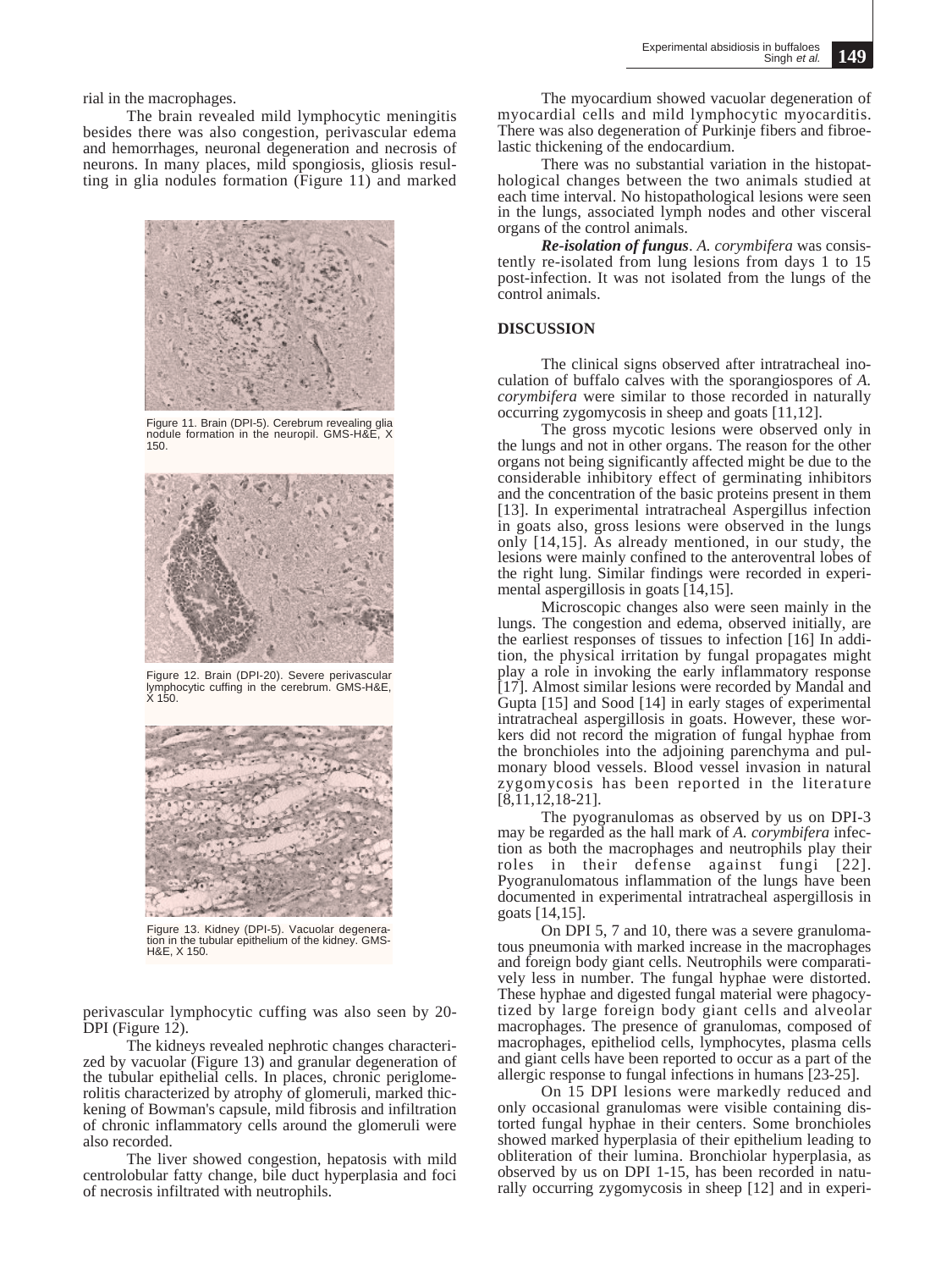rial in the macrophages.

The brain revealed mild lymphocytic meningitis besides there was also congestion, perivascular edema and hemorrhages, neuronal degeneration and necrosis of neurons. In many places, mild spongiosis, gliosis resulting in glia nodules formation (Figure 11) and marked



Figure 11. Brain (DPI-5). Cerebrum revealing glia nodule formation in the neuropil. GMS-H&E, X 150.



Figure 12. Brain (DPI-20). Severe perivascular lymphocytic cuffing in the cerebrum. GMS-H&E, X 150.



Figure 13. Kidney (DPI-5). Vacuolar degeneration in the tubular epithelium of the kidney. GMS-H&E, X 150.

perivascular lymphocytic cuffing was also seen by 20-  $DPI$  (Figure 12).

The kidneys revealed nephrotic changes characterized by vacuolar (Figure 13) and granular degeneration of the tubular epithelial cells. In places, chronic periglomerolitis characterized by atrophy of glomeruli, marked thickening of Bowman's capsule, mild fibrosis and infiltration of chronic inflammatory cells around the glomeruli were also recorded.

The liver showed congestion, hepatosis with mild centrolobular fatty change, bile duct hyperplasia and foci of necrosis infiltrated with neutrophils.

The myocardium showed vacuolar degeneration of myocardial cells and mild lymphocytic myocarditis. There was also degeneration of Purkinje fibers and fibroelastic thickening of the endocardium.

There was no substantial variation in the histopathological changes between the two animals studied at each time interval. No histopathological lesions were seen in the lungs, associated lymph nodes and other visceral organs of the control animals.

*Re-isolation of fungus*. *A. corymbifera* was consistently re-isolated from lung lesions from days 1 to 15 post-infection. It was not isolated from the lungs of the control animals.

### **DISCUSSION**

The clinical signs observed after intratracheal inoculation of buffalo calves with the sporangiospores of *A. corymbifera* were similar to those recorded in naturally occurring zygomycosis in sheep and goats [11,12].

The gross mycotic lesions were observed only in the lungs and not in other organs. The reason for the other organs not being significantly affected might be due to the considerable inhibitory effect of germinating inhibitors and the concentration of the basic proteins present in them [13]. In experimental intratracheal Aspergillus infection in goats also, gross lesions were observed in the lungs only [14,15]. As already mentioned, in our study, the lesions were mainly confined to the anteroventral lobes of the right lung. Similar findings were recorded in experimental aspergillosis in goats [14,15].

Microscopic changes also were seen mainly in the lungs. The congestion and edema, observed initially, are the earliest responses of tissues to infection [16] In addition, the physical irritation by fungal propagates might play a role in invoking the early inflammatory response [17]. Almost similar lesions were recorded by Mandal and Gupta [15] and Sood [14] in early stages of experimental intratracheal aspergillosis in goats. However, these workers did not record the migration of fungal hyphae from the bronchioles into the adjoining parenchyma and pulmonary blood vessels. Blood vessel invasion in natural zygomycosis has been reported in the literature  $[8,11,12,18-21]$ .

The pyogranulomas as observed by us on DPI-3 may be regarded as the hall mark of *A. corymbifera* infection as both the macrophages and neutrophils play their roles in their defense against fungi [22]. Pyogranulomatous inflammation of the lungs have been documented in experimental intratracheal aspergillosis in goats [14,15].

On DPI 5, 7 and 10, there was a severe granulomatous pneumonia with marked increase in the macrophages and foreign body giant cells. Neutrophils were comparatively less in number. The fungal hyphae were distorted. These hyphae and digested fungal material were phagocytized by large foreign body giant cells and alveolar macrophages. The presence of granulomas, composed of macrophages, epitheliod cells, lymphocytes, plasma cells and giant cells have been reported to occur as a part of the allergic response to fungal infections in humans [23-25].

On 15 DPI lesions were markedly reduced and only occasional granulomas were visible containing distorted fungal hyphae in their centers. Some bronchioles showed marked hyperplasia of their epithelium leading to obliteration of their lumina. Bronchiolar hyperplasia, as observed by us on DPI 1-15, has been recorded in naturally occurring zygomycosis in sheep [12] and in experi-